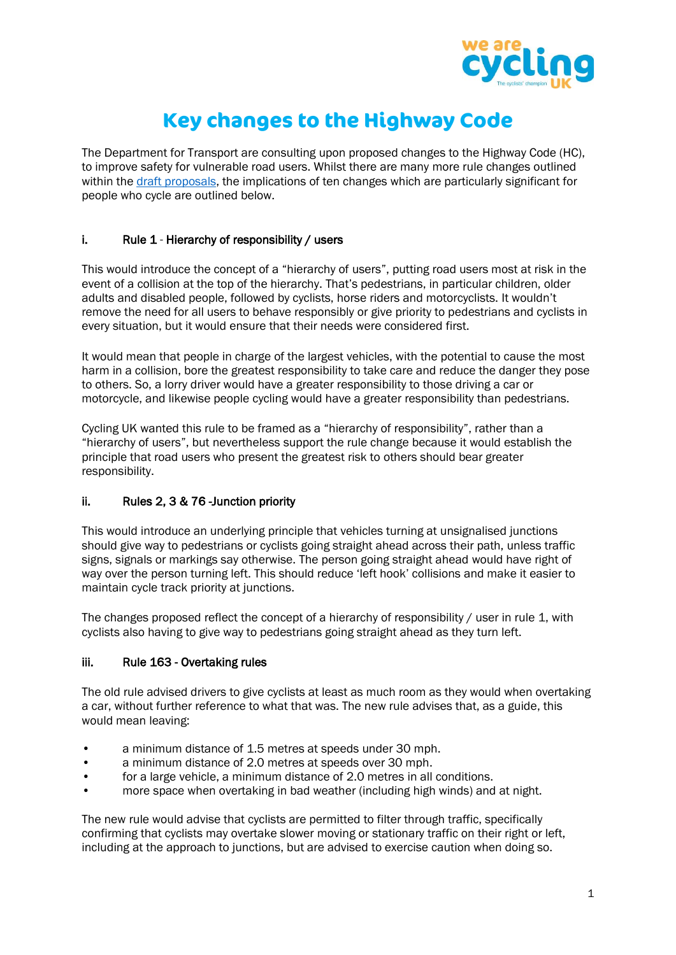

# **Key changes to the Highway Code**

The Department for Transport are consulting upon proposed changes to the Highway Code (HC), to improve safety for vulnerable road users. Whilst there are many more rule changes outlined within the [draft proposals,](https://assets.publishing.service.gov.uk/government/uploads/system/uploads/attachment_data/file/904038/consultation-on-a-review-of-the-highway-code.pdf) the implications of ten changes which are particularly significant for people who cycle are outlined below.

## i. Rule 1 - Hierarchy of responsibility / users

This would introduce the concept of a "hierarchy of users", putting road users most at risk in the event of a collision at the top of the hierarchy. That's pedestrians, in particular children, older adults and disabled people, followed by cyclists, horse riders and motorcyclists. It wouldn't remove the need for all users to behave responsibly or give priority to pedestrians and cyclists in every situation, but it would ensure that their needs were considered first.

It would mean that people in charge of the largest vehicles, with the potential to cause the most harm in a collision, bore the greatest responsibility to take care and reduce the danger they pose to others. So, a lorry driver would have a greater responsibility to those driving a car or motorcycle, and likewise people cycling would have a greater responsibility than pedestrians.

Cycling UK wanted this rule to be framed as a "hierarchy of responsibility", rather than a "hierarchy of users", but nevertheless support the rule change because it would establish the principle that road users who present the greatest risk to others should bear greater responsibility.

## ii. Rules 2, 3 & 76 -Junction priority

This would introduce an underlying principle that vehicles turning at unsignalised junctions should give way to pedestrians or cyclists going straight ahead across their path, unless traffic signs, signals or markings say otherwise. The person going straight ahead would have right of way over the person turning left. This should reduce 'left hook' collisions and make it easier to maintain cycle track priority at junctions.

The changes proposed reflect the concept of a hierarchy of responsibility / user in rule 1, with cyclists also having to give way to pedestrians going straight ahead as they turn left.

## iii. Rule 163 - Overtaking rules

The old rule advised drivers to give cyclists at least as much room as they would when overtaking a car, without further reference to what that was. The new rule advises that, as a guide, this would mean leaving:

- a minimum distance of 1.5 metres at speeds under 30 mph.
- a minimum distance of 2.0 metres at speeds over 30 mph.
- for a large vehicle, a minimum distance of 2.0 metres in all conditions.
- more space when overtaking in bad weather (including high winds) and at night.

The new rule would advise that cyclists are permitted to filter through traffic, specifically confirming that cyclists may overtake slower moving or stationary traffic on their right or left, including at the approach to junctions, but are advised to exercise caution when doing so.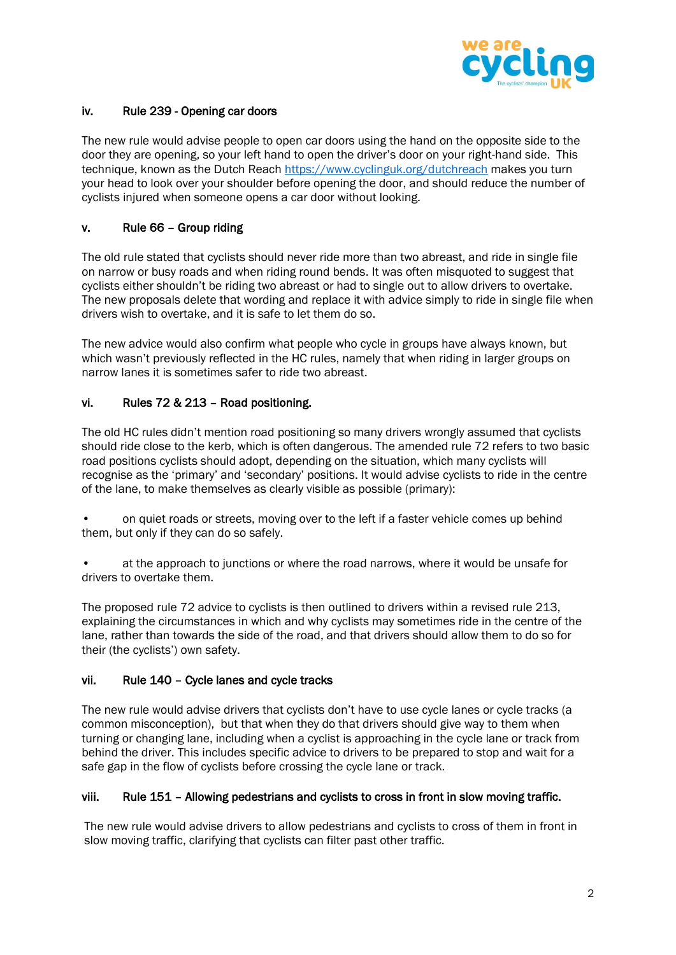

## iv. Rule 239 - Opening car doors

The new rule would advise people to open car doors using the hand on the opposite side to the door they are opening, so your left hand to open the driver's door on your right-hand side. This technique, known as the Dutch Reach<https://www.cyclinguk.org/dutchreach> makes you turn your head to look over your shoulder before opening the door, and should reduce the number of cyclists injured when someone opens a car door without looking.

# v. Rule 66 – Group riding

The old rule stated that cyclists should never ride more than two abreast, and ride in single file on narrow or busy roads and when riding round bends. It was often misquoted to suggest that cyclists either shouldn't be riding two abreast or had to single out to allow drivers to overtake. The new proposals delete that wording and replace it with advice simply to ride in single file when drivers wish to overtake, and it is safe to let them do so.

The new advice would also confirm what people who cycle in groups have always known, but which wasn't previously reflected in the HC rules, namely that when riding in larger groups on narrow lanes it is sometimes safer to ride two abreast.

## vi. Rules 72 & 213 – Road positioning.

The old HC rules didn't mention road positioning so many drivers wrongly assumed that cyclists should ride close to the kerb, which is often dangerous. The amended rule 72 refers to two basic road positions cyclists should adopt, depending on the situation, which many cyclists will recognise as the 'primary' and 'secondary' positions. It would advise cyclists to ride in the centre of the lane, to make themselves as clearly visible as possible (primary):

• on quiet roads or streets, moving over to the left if a faster vehicle comes up behind them, but only if they can do so safely.

• at the approach to junctions or where the road narrows, where it would be unsafe for drivers to overtake them.

The proposed rule 72 advice to cyclists is then outlined to drivers within a revised rule 213, explaining the circumstances in which and why cyclists may sometimes ride in the centre of the lane, rather than towards the side of the road, and that drivers should allow them to do so for their (the cyclists') own safety.

## vii. Rule 140 – Cycle lanes and cycle tracks

The new rule would advise drivers that cyclists don't have to use cycle lanes or cycle tracks (a common misconception), but that when they do that drivers should give way to them when turning or changing lane, including when a cyclist is approaching in the cycle lane or track from behind the driver. This includes specific advice to drivers to be prepared to stop and wait for a safe gap in the flow of cyclists before crossing the cycle lane or track.

## viii. Rule 151 – Allowing pedestrians and cyclists to cross in front in slow moving traffic.

The new rule would advise drivers to allow pedestrians and cyclists to cross of them in front in slow moving traffic, clarifying that cyclists can filter past other traffic.